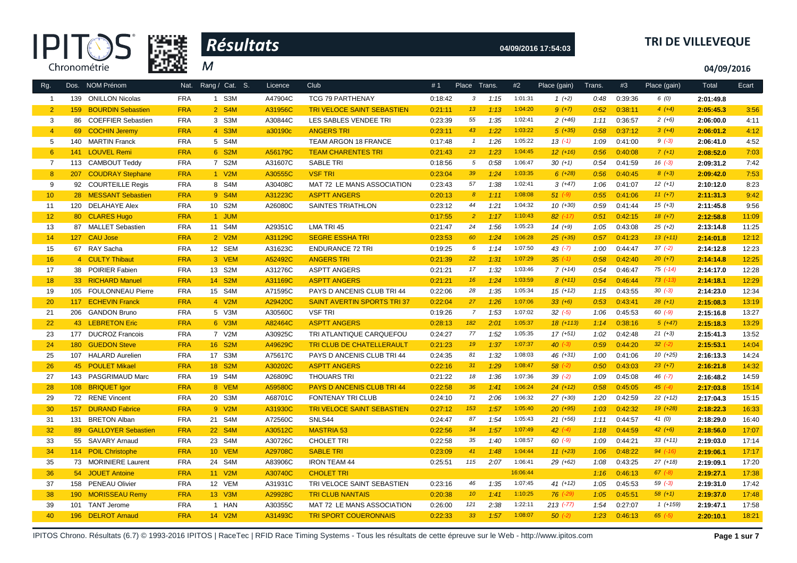



# **04/09/2016 17:54:03 TRI DE VILLEVEQUE**

**04/09/2016**

| Rg.             |                  | Dos. NOM Prénom          | Nat.       | Rang / Cat. S. | Licence | <b>Club</b>                       | #1      | Place           | Trans. | #2       | Place (gain) | Trans. | #3      | Place (gain) | Total     | Ecart |
|-----------------|------------------|--------------------------|------------|----------------|---------|-----------------------------------|---------|-----------------|--------|----------|--------------|--------|---------|--------------|-----------|-------|
| $\overline{1}$  | 139              | <b>ONILLON Nicolas</b>   | <b>FRA</b> | 1 S3M          | A47904C | TCG 79 PARTHENAY                  | 0:18:42 | $\mathbf{3}$    | 1:15   | 1:01:31  | $1 (+2)$     | 0:48   | 0:39:36 | 6(0)         | 2:01:49.8 |       |
| $\overline{2}$  | 159              | <b>BOURDIN Sebastien</b> | <b>FRA</b> | 2 S4M          | A31956C | <b>TRI VELOCE SAINT SEBASTIEN</b> | 0:21:11 | 13              | 1:13   | 1:04:20  | $9 (+7)$     | 0:52   | 0:38:11 | $4(+4)$      | 2:05:45.3 | 3:56  |
| 3               |                  | 86 COEFFIER Sebastien    | <b>FRA</b> | 3 S3M          | A30844C | LES SABLES VENDEE TRI             | 0:23:39 | 55              | 1:35   | 1:02:41  | $2(+46)$     | 1:11   | 0:36:57 | $2(+6)$      | 2:06:00.0 | 4:11  |
| $\overline{4}$  |                  | 69 COCHIN Jeremy         | <b>FRA</b> | 4 S3M          | a30190c | <b>ANGERS TRI</b>                 | 0:23:11 | 43              | 1:22   | 1:03:22  | $5(+35)$     | 0:58   | 0:37:12 | $3(+4)$      | 2:06:01.2 | 4:12  |
| 5               | 140              | <b>MARTIN Franck</b>     | <b>FRA</b> | 5 S4M          |         | TEAM ARGON 18 FRANCE              | 0:17:48 | $\overline{1}$  | 1:26   | 1:05:22  | $13( -1)$    | 1:09   | 0:41:00 | $9(-3)$      | 2:06:41.0 | 4:52  |
| $6\phantom{1}6$ | 141              | <b>LOUVEL Remi</b>       | <b>FRA</b> | 6 S2M          | A56179C | <b>TEAM CHARENTES TRI</b>         | 0:21:43 | 23              | 1:23   | 1:04:45  | $12 (+16)$   | 0:56   | 0:40:08 | $7(+1)$      | 2:08:52.0 | 7:03  |
| $\overline{7}$  |                  | 113 CAMBOUT Teddy        | <b>FRA</b> | 7 S2M          | A31607C | <b>SABLE TRI</b>                  | 0:18:56 | 5               | 0:58   | 1:06:47  | $30 (+1)$    | 0:54   | 0:41:59 | $16(-3)$     | 2:09:31.2 | 7:42  |
| 8               |                  | 207 COUDRAY Stephane     | <b>FRA</b> | 1 V2M          | A30555C | <b>VSF TRI</b>                    | 0:23:04 | 39              | 1:24   | 1:03:35  | $6 (+28)$    | 0:56   | 0:40:45 | $8 (+3)$     | 2:09:42.0 | 7:53  |
| 9               |                  | 92 COURTEILLE Regis      | <b>FRA</b> | 8 S4M          | A30408C | MAT 72 LE MANS ASSOCIATION        | 0:23:43 | 57              | 1:38   | 1:02:41  | $3(+47)$     | 1:06   | 0:41:07 | $12(+1)$     | 2:10:12.0 | 8:23  |
| 10              |                  | 28 MESSANT Sebastien     | <b>FRA</b> | 9 S4M          | A31223C | <b>ASPTT ANGERS</b>               | 0:20:13 | 8 <sup>°</sup>  | 1:11   | 1:08:08  | $51 (-9)$    | 0:55   | 0:41:06 | $11 (+7)$    | 2:11:31.3 | 9:42  |
| 11              |                  | 120 DELAHAYE Alex        | <b>FRA</b> | 10 S2M         | A26080C | SAINTES TRIATHLON                 | 0:23:12 | 44              | 1:21   | 1:04:32  | $10(+30)$    | 0:59   | 0:41:44 | $15(+3)$     | 2:11:45.8 | 9:56  |
| 12 <sup>2</sup> |                  | 80 CLARES Hugo           | <b>FRA</b> | 1 JUM          |         |                                   | 0:17:55 | $\overline{2}$  | 1:17   | 1:10:43  | $82$ (-17)   | 0:51   | 0:42:15 | $18(+7)$     | 2:12:58.8 | 11:09 |
| 13              |                  | 87 MALLET Sebastien      | <b>FRA</b> | 11 S4M         | A29351C | LMA TRI 45                        | 0:21:47 | 24              | 1:56   | 1:05:23  | $14(+9)$     | 1:05   | 0:43:08 | $25 (+2)$    | 2:13:14.8 | 11:25 |
| 14              |                  | 127 CAU Jose             | <b>FRA</b> | 2 V2M          | A31129C | <b>SEGRE ESSHA TRI</b>            | 0:23:53 | 60              | 1:24   | 1:06:28  | $25$ $(+35)$ | 0:57   | 0:41:23 | $13(+11)$    | 2:14:01.8 | 12:12 |
| 15              |                  | 67 RAY Sacha             | <b>FRA</b> | 12 SEM         | A31623C | <b>ENDURANCE 72 TRI</b>           | 0:19:25 | 6               | 1:14   | 1:07:50  | $43$ $(-7)$  | 1:00   | 0:44:47 | $37(-2)$     | 2:14:12.8 | 12:23 |
| 16              |                  | 4 CULTY Thibaut          | <b>FRA</b> | 3 VEM          | A52492C | <b>ANGERS TRI</b>                 | 0:21:39 | 22              | 1:31   | 1:07:29  | $35 (-1)$    | 0:58   | 0:42:40 | $20 (+7)$    | 2:14:14.8 | 12:25 |
| 17              |                  | 38 POIRIER Fabien        | <b>FRA</b> | 13 S2M         | A31276C | <b>ASPTT ANGERS</b>               | 0:21:21 | 17              | 1:32   | 1:03:46  | $7(+14)$     | 0:54   | 0:46:47 | $75$ $(-14)$ | 2:14:17.0 | 12:28 |
| 18              |                  | 33 RICHARD Manuel        | <b>FRA</b> | 14 S2M         | A31169C | <b>ASPTT ANGERS</b>               | 0:21:21 | 16              | 1:24   | 1:03:59  | $8(+11)$     | 0:54   | 0:46:44 | $73$ $(-13)$ | 2:14:18.1 | 12:29 |
| 19              |                  | 105 FOULONNEAU Pierre    | <b>FRA</b> | 15 S4M         | A71595C | PAYS D ANCENIS CLUB TRI 44        | 0:22:06 | 28              | 1:35   | 1:05:34  | $15(+12)$    | 1:15   | 0:43:55 | $30(-3)$     | 2:14:23.0 | 12:34 |
| 20              |                  | 117 ECHEVIN Franck       | <b>FRA</b> | 4 V2M          | A29420C | <b>SAINT AVERTIN SPORTS TRI37</b> | 0:22:04 | 27              | 1:26   | 1:07:06  | $33 (+6)$    | 0:53   | 0:43:41 | $28 (+1)$    | 2:15:08.3 | 13:19 |
| 21              | 206              | <b>GANDON Bruno</b>      | <b>FRA</b> | 5 V3M          | A30560C | <b>VSF TRI</b>                    | 0:19:26 | $\overline{7}$  | 1:53   | 1:07:02  | $32 (-5)$    | 1:06   | 0:45:53 | $60 (-9)$    | 2:15:16.8 | 13:27 |
| 22              |                  | 43 LEBRETON Eric         | <b>FRA</b> | 6 V3M          | A82464C | <b>ASPTT ANGERS</b>               | 0:28:13 | 182             | 2:01   | 1:05:37  | $18(+113)$   | 1:14   | 0:38:16 | $5(+47)$     | 2:15:18.3 | 13:29 |
| 23              |                  | 177 DUCROZ Francois      | <b>FRA</b> | 7 V2M          | A30925C | TRI ATLANTIQUE CARQUEFOU          | 0:24:27 | 77              | 1:52   | 1:05:35  | $17(+51)$    | 1:02   | 0:42:48 | $21 (+3)$    | 2:15:41.3 | 13:52 |
| 24              |                  | 180 GUEDON Steve         | <b>FRA</b> | 16 S2M         | A49629C | <b>TRI CLUB DE CHATELLERAULT</b>  | 0:21:23 | 19              | 1:37   | 1:07:37  | $40^{(-3)}$  | 0:59   | 0:44:20 | $32 (-2)$    | 2:15:53.1 | 14:04 |
| 25              |                  | 107 HALARD Aurelien      | <b>FRA</b> | 17 S3M         | A75617C | PAYS D ANCENIS CLUB TRI 44        | 0:24:35 | 81              | 1:32   | 1:08:03  | $46 (+31)$   | 1:00   | 0:41:06 | $10(+25)$    | 2:16:13.3 | 14:24 |
| 26              |                  | 45 POULET Mikael         | <b>FRA</b> | 18 S2M         | A30202C | <b>ASPTT ANGERS</b>               | 0:22:16 | 31              | 1:29   | 1:08:47  | $58$ $(-2)$  | 0:50   | 0:43:03 | $23 (+7)$    | 2:16:21.8 | 14:32 |
| 27              |                  | 143 PASGRIMAUD Marc      | <b>FRA</b> | 19 S4M         | A26809C | <b>THOUARS TRI</b>                | 0:21:22 | 18              | 1:36   | 1:07:36  | $39( -2)$    | 1:09   | 0:45:08 | $46$ $(-7)$  | 2:16:48.2 | 14:59 |
| 28              |                  | 108 BRIQUET Igor         | <b>FRA</b> | 8 VEM          | A59580C | <b>PAYS D ANCENIS CLUB TRI 44</b> | 0:22:58 | 36              | 1:41   | 1:06:24  | $24(+12)$    | 0:58   | 0:45:05 | $45 (-4)$    | 2:17:03.8 | 15:14 |
| 29              |                  | 72 RENE Vincent          | <b>FRA</b> | 20 S3M         | A68701C | <b>FONTENAY TRI CLUB</b>          | 0:24:10 | 71              | 2:06   | 1:06:32  | $27 (+30)$   | 1:20   | 0:42:59 | $22 (+12)$   | 2:17:04.3 | 15:15 |
| 30              | 157              | <b>DURAND Fabrice</b>    | <b>FRA</b> | 9 V2M          | A31930C | <b>TRI VELOCE SAINT SEBASTIEN</b> | 0:27:12 | 153             | 1:57   | 1:05:40  | $20 (+95)$   | 1:03   | 0:42:32 | $19(+28)$    | 2:18:22.3 | 16:33 |
| 31              |                  | 131 BRETON Alban         | <b>FRA</b> | 21 S4M         | A72560C | SNLS44                            | 0:24:47 | 87              | 1:54   | 1:05:43  | $21 (+56)$   | 1:11   | 0:44:57 | 41 $(0)$     | 2:18:29.0 | 16:40 |
| 32              |                  | 89 GALLOYER Sebastien    | <b>FRA</b> | 22 S4M         | A30512C | <b>MASTRIA 53</b>                 | 0:22:56 | 34              | 1:57   | 1:07:49  | $42$ $(-4)$  | 1:18   | 0:44:59 | $42 (+6)$    | 2:18:56.0 | 17:07 |
| 33              |                  | 55 SAVARY Arnaud         | <b>FRA</b> | 23 S4M         | A30726C | <b>CHOLET TRI</b>                 | 0:22:58 | 35              | 1:40   | 1:08:57  | $60 (-9)$    | 1:09   | 0:44:21 | $33 (+11)$   | 2:19:03.0 | 17:14 |
| 34              |                  | 114 POIL Christophe      | <b>FRA</b> | 10 VEM         | A29708C | <b>SABLE TRI</b>                  | 0:23:09 | 41              | 1:48   | 1:04:44  | $11 (+23)$   | 1:06   | 0:48:22 | $94 (-16)$   | 2:19:06.1 | 17:17 |
| 35              |                  | 73 MORINIERE Laurent     | <b>FRA</b> | 24 S4M         | A83906C | <b>IRON TEAM 44</b>               | 0:25:51 | 115             | 2:07   | 1:06:41  | 29 (+62)     | 1:08   | 0:43:25 | $27 (+18)$   | 2:19:09.1 | 17:20 |
| 36              |                  | 54 JOUET Antoine         | <b>FRA</b> | 11 V2M         | A30740C | <b>CHOLET TRI</b>                 |         |                 |        | 16:06:44 |              | 1:16   | 0:46:13 | $67 (-8)$    | 2:19:27.1 | 17:38 |
| 37              |                  | 158 PENEAU Olivier       | <b>FRA</b> | 12 VEM         | A31931C | TRI VELOCE SAINT SEBASTIEN        | 0:23:16 | 46              | 1:35   | 1:07:45  | $41 (+12)$   | 1:05   | 0:45:53 | $59 (-3)$    | 2:19:31.0 | 17:42 |
| 38              | 190 <sub>1</sub> | <b>MORISSEAU Remy</b>    | <b>FRA</b> | 13 V3M         | A29928C | <b>TRI CLUB NANTAIS</b>           | 0:20:38 | 10 <sup>°</sup> | 1:41   | 1:10:25  | $76$ $(-29)$ | 1:05   | 0:45:51 | $58 (+1)$    | 2:19:37.0 | 17:48 |
| 39              | 101              | <b>TANT Jerome</b>       | <b>FRA</b> | 1 HAN          | A30355C | MAT 72 LE MANS ASSOCIATION        | 0:26:00 | 121             | 2:38   | 1:22:11  | $213 (-77)$  | 1:54   | 0:27:07 | $1(+159)$    | 2:19:47.1 | 17:58 |
| 40              |                  | 196 DELROT Arnaud        | <b>FRA</b> | 14 V2M         | A31493C | <b>TRI SPORT COUERONNAIS</b>      | 0:22:33 | 33              | 1:57   | 1:08:07  | 50(.2)       | 1:23   | 0:46:13 | $65 (-5)$    | 2:20:10.1 | 18:21 |

IPITOS Chrono. Résultats (6.7) © 1993-2016 IPITOS | RaceTec | RFID Race Timing Systems - Tous les résultats de cette épreuve sur le Web - http://www.ipitos.com **Page 1 sur 7**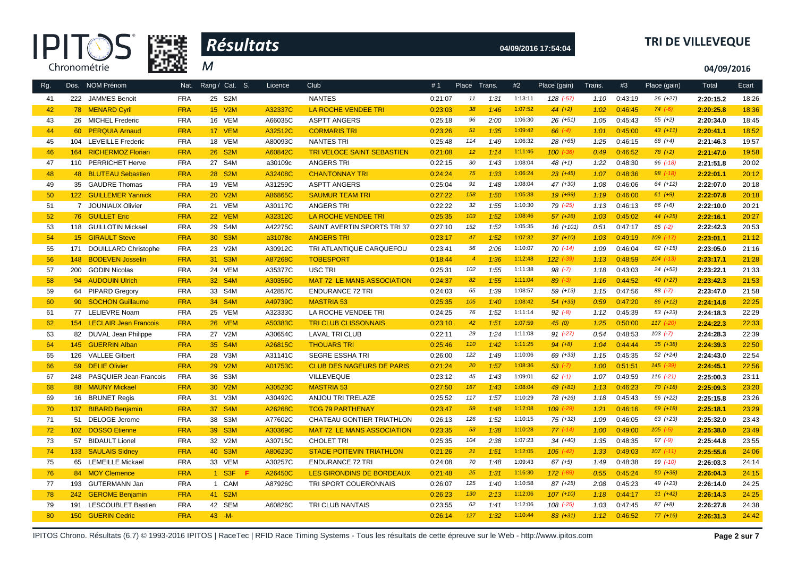



# **04/09/2016 17:54:04 TRI DE VILLEVEQUE**

**04/09/2016**

| Rg. |                  | Dos. NOM Prénom             | Nat.       | Rang / Cat. S.              | Licence | Club                              | #1      | Place Trans.    |      | #2      | Place (gain)  | Trans. | #3      | Place (gain)  | Total     | Ecart |
|-----|------------------|-----------------------------|------------|-----------------------------|---------|-----------------------------------|---------|-----------------|------|---------|---------------|--------|---------|---------------|-----------|-------|
| 41  |                  | 222 JAMMES Benoit           | <b>FRA</b> | 25 S2M                      |         | <b>NANTES</b>                     | 0:21:07 | 11              | 1:31 | 1:13:11 | 128 (-57)     | 1:10   | 0:43:19 | $26(+27)$     | 2:20:15.2 | 18:26 |
| 42  |                  | 78 MENARD Cyril             | <b>FRA</b> | 15 V2M                      | A32337C | LA ROCHE VENDEE TRI               | 0:23:03 | 38              | 1:46 | 1:07:52 | $44 (+2)$     | 1:02   | 0:46:45 | $74 (-6)$     | 2:20:25.8 | 18:36 |
| 43  |                  | 26 MICHEL Frederic          | <b>FRA</b> | 16 VEM                      | A66035C | <b>ASPTT ANGERS</b>               | 0:25:18 | 96              | 2:00 | 1:06:30 | $26 (+51)$    | 1:05   | 0:45:43 | $55 (+2)$     | 2:20:34.0 | 18:45 |
| 44  |                  | 60 PERQUIA Arnaud           | <b>FRA</b> | 17 VEM                      | A32512C | <b>CORMARIS TRI</b>               | 0:23:26 | 51              | 1:35 | 1:09:42 | $66 (-4)$     | 1:01   | 0:45:00 | $43(+11)$     | 2:20:41.1 | 18:52 |
| 45  | 104              | <b>LEVEILLE Frederic</b>    | <b>FRA</b> | 18 VEM                      | A80093C | <b>NANTES TRI</b>                 | 0:25:48 | 114             | 1:49 | 1:06:32 | 28 (+65)      | 1:25   | 0:46:15 | $68 (+4)$     | 2:21:46.3 | 19:57 |
| 46  | 164              | <b>RICHERMOZ Florian</b>    | <b>FRA</b> | 26 S2M                      | A60842C | <b>TRI VELOCE SAINT SEBASTIEN</b> | 0:21:08 | 12 <sup>°</sup> | 1:14 | 1:11:46 | $100 (-36)$   | 0:49   | 0:46:52 | $78(+2)$      | 2:21:47.0 | 19:58 |
| 47  |                  | 110 PERRICHET Herve         | <b>FRA</b> | 27 S4M                      | a30109c | <b>ANGERS TRI</b>                 | 0:22:15 | 30              | 1:43 | 1:08:04 | 48 $(+1)$     | 1:22   | 0:48:30 | $96$ $(-18)$  | 2:21:51.8 | 20:02 |
| 48  |                  | 48 BLUTEAU Sebastien        | <b>FRA</b> | 28 S2M                      | A32408C | <b>CHANTONNAY TRI</b>             | 0:24:24 | 75              | 1:33 | 1:06:24 | $23 (+45)$    | 1:07   | 0:48:36 | $98$ $(-18)$  | 2:22:01.1 | 20:12 |
| 49  |                  | 35 GAUDRE Thomas            | <b>FRA</b> | 19 VEM                      | A31259C | <b>ASPTT ANGERS</b>               | 0:25:04 | 91              | 1:48 | 1:08:04 | 47 (+30)      | 1:08   | 0:46:06 | $64(+12)$     | 2:22:07.0 | 20:18 |
| 50  |                  | 122 GUILLEMER Yannick       | <b>FRA</b> | 20 V2M                      | A86865C | <b>SAUMUR TEAM TRI</b>            | 0:27:22 | 158             | 1:50 | 1:05:38 | $19(+99)$     | 1:19   | 0:46:00 | $61 (+9)$     | 2:22:07.8 | 20:18 |
| 51  |                  | 7 JOUNIAUX Olivier          | <b>FRA</b> | 21 VEM                      | A30117C | <b>ANGERS TRI</b>                 | 0:22:22 | 32              | 1:55 | 1:10:30 | 79 (-25)      | 1:13   | 0:46:13 | 66 (+6)       | 2:22:10.0 | 20:21 |
| 52  |                  | 76 GUILLET Eric             | <b>FRA</b> | 22 VEM                      | A32312C | LA ROCHE VENDEE TRI               | 0:25:35 | 103             | 1:52 | 1:08:46 | $57 (+26)$    | 1:03   | 0:45:02 | $44 (+25)$    | 2:22:16.1 | 20:27 |
| 53  |                  | 118 GUILLOTIN Mickael       | <b>FRA</b> | 29 S4M                      | A42275C | SAINT AVERTIN SPORTS TRI37        | 0:27:10 | 152             | 1:52 | 1:05:35 | 16 (+101)     | 0:51   | 0:47:17 | $85$ $(-2)$   | 2:22:42.3 | 20:53 |
| 54  |                  | 15 GIRAULT Steve            | <b>FRA</b> | 30 S3M                      | a31078c | <b>ANGERS TRI</b>                 | 0:23:17 | 47              | 1:52 | 1:07:32 | $37 (+10)$    | 1:03   | 0:49:19 | $109$ $(-17)$ | 2:23:01.1 | 21:12 |
| 55  | 171              | <b>DOUILLARD Christophe</b> | <b>FRA</b> | 23 V2M                      | A30912C | TRI ATLANTIQUE CARQUEFOU          | 0:23:41 | 56              | 2:06 | 1:10:07 | $70$ $(-14)$  | 1:09   | 0:46:04 | $62$ $(+15)$  | 2:23:05.0 | 21:16 |
| 56  | 148              | <b>BODEVEN Josselin</b>     | <b>FRA</b> | 31 S3M                      | A87268C | <b>TOBESPORT</b>                  | 0:18:44 | $\overline{4}$  | 1:36 | 1:12:48 | $122$ $(-39)$ | 1:13   | 0:48:59 | $104$ $(-13)$ | 2:23:17.1 | 21:28 |
| 57  | 200              | <b>GODIN Nicolas</b>        | <b>FRA</b> | 24 VEM                      | A35377C | <b>USC TRI</b>                    | 0:25:31 | 102             | 1:55 | 1:11:38 | $98$ $(-7)$   | 1:18   | 0:43:03 | $24(+52)$     | 2:23:22.1 | 21:33 |
| 58  |                  | 94 AUDOUIN Ulrich           | <b>FRA</b> | 32 S4M                      | A30356C | <b>MAT 72 LE MANS ASSOCIATION</b> | 0:24:37 | 82              | 1:55 | 1:11:04 | $89^{(-3)}$   | 1:16   | 0:44:52 | $40 (+27)$    | 2:23:42.3 | 21:53 |
| 59  |                  | 64 PIPARD Gregory           | <b>FRA</b> | 33 S4M                      | A42857C | <b>ENDURANCE 72 TRI</b>           | 0:24:03 | 65              | 1:39 | 1:08:57 | $59 (+13)$    | 1:15   | 0:47:56 | $88 (-7)$     | 2:23:47.0 | 21:58 |
| 60  |                  | 90 SOCHON Guillaume         | <b>FRA</b> | 34 S4M                      | A49739C | <b>MASTRIA 53</b>                 | 0:25:35 | 105             | 1:40 | 1:08:42 | $54$ $(+33)$  | 0:59   | 0:47:20 | $86 (+12)$    | 2:24:14.8 | 22:25 |
| 61  |                  | 77 LELIEVRE Noam            | <b>FRA</b> | 25 VEM                      | A32333C | LA ROCHE VENDEE TRI               | 0:24:25 | 76              | 1:52 | 1:11:14 | $92 (+8)$     | 1:12   | 0:45:39 | $53(+23)$     | 2:24:18.3 | 22:29 |
| 62  |                  | 154 LECLAIR Jean Francois   | <b>FRA</b> | 26 VEM                      | A50383C | <b>TRI CLUB CLISSONNAIS</b>       | 0:23:10 | 42              | 1:51 | 1:07:59 | 45(0)         | 1:25   | 0:50:00 | $117$ $(-20)$ | 2:24:22.3 | 22:33 |
| 63  |                  | 82 DUVAL Jean Philippe      | <b>FRA</b> | 27 V2M                      | A30654C | <b>LAVAL TRI CLUB</b>             | 0:22:11 | 29              | 1:24 | 1:11:08 | $91 (-27)$    | 0:54   | 0:48:53 | $103 (-7)$    | 2:24:28.3 | 22:39 |
| 64  |                  | 145 GUERRIN Alban           | <b>FRA</b> | 35 S4M                      | A26815C | <b>THOUARS TRI</b>                | 0:25:46 | 110             | 1:42 | 1:11:25 | $94 (+8)$     | 1:04   | 0:44:44 | $35 (+38)$    | 2:24:39.3 | 22:50 |
| 65  | 126              | <b>VALLEE Gilbert</b>       | <b>FRA</b> | 28 V3M                      | A31141C | SEGRE ESSHA TRI                   | 0:26:00 | 122             | 1:49 | 1:10:06 | 69 (+33)      | 1:15   | 0:45:35 | $52 (+24)$    | 2:24:43.0 | 22:54 |
| 66  |                  | 59 DELIE Olivier            | <b>FRA</b> | 29 V2M                      | A01753C | <b>CLUB DES NAGEURS DE PARIS</b>  | 0:21:24 | 20              | 1:57 | 1:08:36 | $53 (-7)$     | 1:00   | 0:51:51 | $145$ $(-39)$ | 2:24:45.1 | 22:56 |
| 67  |                  | 248 PASQUIER Jean-Francois  | <b>FRA</b> | 36 S3M                      |         | <b>VILLEVEQUE</b>                 | 0:23:12 | 45              | 1:43 | 1:09:01 | $62$ $(-1)$   | 1:07   | 0:49:59 | $116$ $(-21)$ | 2:25:00.3 | 23:11 |
| 68  |                  | 88 MAUNY Mickael            | <b>FRA</b> | 30 V2M                      | A30523C | <b>MASTRIA 53</b>                 | 0:27:50 | 167             | 1:43 | 1:08:04 | 49 (+81)      | 1:13   | 0:46:23 | $70(+18)$     | 2:25:09.3 | 23:20 |
| 69  | 16               | <b>BRUNET Regis</b>         | <b>FRA</b> | 31 V3M                      | A30492C | ANJOU TRI TRELAZE                 | 0:25:52 | 117             | 1:57 | 1:10:29 | 78 (+26)      | 1:18   | 0:45:43 | 56 (+22)      | 2:25:15.8 | 23:26 |
| 70  | 137              | <b>BIBARD Benjamin</b>      | <b>FRA</b> | 37 S4M                      | A26268C | <b>TCG 79 PARTHENAY</b>           | 0:23:47 | 59              | 1:48 | 1:12:08 | $109$ $(-29)$ | 1:21   | 0:46:16 | $69 (+18)$    | 2:25:18.1 | 23:29 |
| 71  |                  | 51 DELOGE Jerome            | <b>FRA</b> | 38 S3M                      | A77602C | CHATEAU GONTIER TRIATHLON         | 0:26:13 | 126             | 1:52 | 1:10:15 | $75 (+32)$    | 1:09   | 0:46:05 | $63 (+23)$    | 2:25:32.0 | 23:43 |
| 72  |                  | 102 DOSSO Etienne           | <b>FRA</b> | 39 S3M                      | A30369C | <b>MAT 72 LE MANS ASSOCIATION</b> | 0:23:35 | 53              | 1:38 | 1:10:28 | $77$ $(-14)$  | 1:00   | 0:49:00 | $105 (-5)$    | 2:25:38.0 | 23:49 |
| 73  |                  | 57 BIDAULT Lionel           | <b>FRA</b> | 32 V2M                      | A30715C | <b>CHOLET TRI</b>                 | 0:25:35 | 104             | 2:38 | 1:07:23 | $34(+40)$     | 1:35   | 0:48:35 | $97 (-9)$     | 2:25:44.8 | 23:55 |
| 74  |                  | 133 SAULAIS Sidney          | <b>FRA</b> | 40 S3M                      | A80623C | <b>STADE POITEVIN TRIATHLON</b>   | 0:21:26 | 21              | 1:51 | 1:12:05 | $105$ $(-42)$ | 1:33   | 0:49:03 | $107$ $(-11)$ | 2:25:55.8 | 24:06 |
| 75  |                  | 65 LEMEILLE Mickael         | <b>FRA</b> | 33 VEM                      | A30257C | <b>ENDURANCE 72 TRI</b>           | 0:24:08 | 70              | 1:48 | 1:09:43 | $67 (+5)$     | 1:49   | 0:48:38 | $99$ $(-10)$  | 2:26:03.3 | 24:14 |
| 76  |                  | 84 MOY Clemence             | <b>FRA</b> | $1$ S <sub>3</sub> F<br>- F | A26450C | LES GIRONDINS DE BORDEAUX         | 0:21:48 | 25              | 1:31 | 1:16:30 | $172$ $(-89)$ | 0:55   | 0:45:24 | $50(+38)$     | 2:26:04.3 | 24:15 |
| 77  |                  | 193 GUTERMANN Jan           | <b>FRA</b> | 1 CAM                       | A87926C | TRI SPORT COUERONNAIS             | 0:26:07 | 125             | 1:40 | 1:10:58 | $87 (+25)$    | 2:08   | 0:45:23 | 49 (+23)      | 2:26:14.0 | 24:25 |
| 78  | 242              | <b>GEROME Benjamin</b>      | <b>FRA</b> | 41 S2M                      |         |                                   | 0:26:23 | 130             | 2:13 | 1:12:06 | $107 (+10)$   | 1:18   | 0:44:17 | $31 (+42)$    | 2:26:14.3 | 24:25 |
| 79  | 191              | <b>LESCOUBLET Bastien</b>   | <b>FRA</b> | 42 SEM                      | A60826C | TRI CLUB NANTAIS                  | 0:23:55 | 62              | 1:41 | 1:12:06 | $108$ $(-25)$ | 1:03   | 0:47:45 | $87 (+8)$     | 2:26:27.8 | 24:38 |
| 80  | 150 <sub>1</sub> | <b>GUERIN Cedric</b>        | <b>FRA</b> | $43 - M -$                  |         |                                   | 0:26:14 | 127             | 1:32 | 1:10:44 | $83 (+31)$    | 1:12   | 0:46:52 | $77(+16)$     | 2:26:31.3 | 24:42 |

IPITOS Chrono. Résultats (6.7) © 1993-2016 IPITOS | RaceTec | RFID Race Timing Systems - Tous les résultats de cette épreuve sur le Web - http://www.ipitos.com **Page 2 sur 7**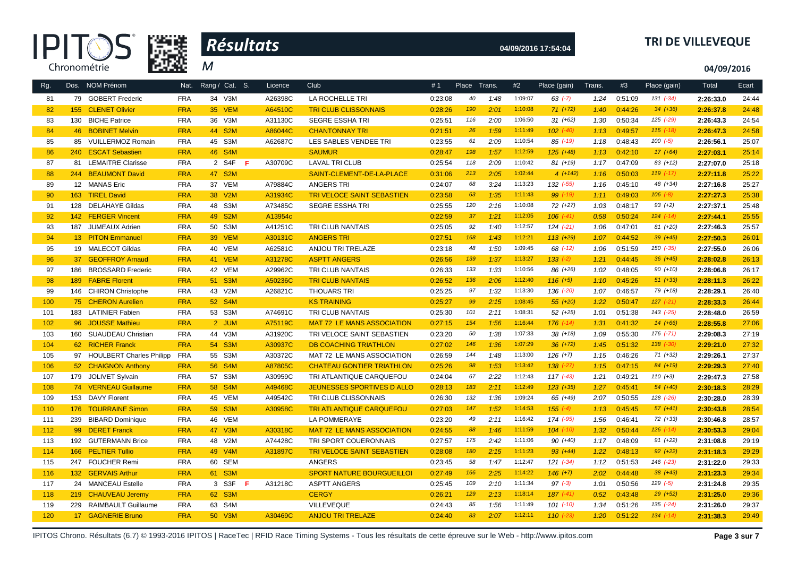



# **04/09/2016 17:54:04 TRI DE VILLEVEQUE**

**04/09/2016**

| Rg. |                 | Dos. NOM Prénom             | Nat.       | Rang / Cat. S. | Licence       | Club                              | #1      | Place | Trans. | #2      | Place (gain)  | Trans. | #3      | Place (gain)  | Total     | Ecart |
|-----|-----------------|-----------------------------|------------|----------------|---------------|-----------------------------------|---------|-------|--------|---------|---------------|--------|---------|---------------|-----------|-------|
| 81  |                 | 79 GOBERT Frederic          | <b>FRA</b> | 34 V3M         | A26398C       | LA ROCHELLE TRI                   | 0:23:08 | 40    | 1:48   | 1:09:07 | $63$ $(-7)$   | 1:24   | 0:51:09 | 131 (-34)     | 2:26:33.0 | 24:44 |
| 82  | 155             | <b>CLENET Olivier</b>       | <b>FRA</b> | <b>35 VEM</b>  | A64510C       | <b>TRI CLUB CLISSONNAIS</b>       | 0:28:26 | 190   | 2:01   | 1:10:08 | $71 (+72)$    | 1:40   | 0:44:26 | $34 (+36)$    | 2:26:37.8 | 24:48 |
| 83  |                 | 130 BICHE Patrice           | <b>FRA</b> | 36 V3M         | A31130C       | SEGRE ESSHA TRI                   | 0:25:51 | 116   | 2:00   | 1:06:50 | $31 (+62)$    | 1:30   | 0:50:34 | 125 (-29)     | 2:26:43.3 | 24:54 |
| 84  |                 | 46 BOBINET Melvin           | <b>FRA</b> | 44 S2M         | A86044C       | <b>CHANTONNAY TRI</b>             | 0:21:51 | 26    | 1:59   | 1:11:49 | $102$ $(-40)$ | 1:13   | 0:49:57 | $115$ $(-18)$ | 2:26:47.3 | 24:58 |
| 85  | 85              | <b>VUILLERMOZ Romain</b>    | <b>FRA</b> | 45 S3M         | A62687C       | LES SABLES VENDEE TRI             | 0:23:55 | 61    | 2:09   | 1:10:54 | 85 (-19)      | 1:18   | 0:48:43 | $100 (-5)$    | 2:26:56.1 | 25:07 |
| 86  | 240             | <b>ESCAT Sebastien</b>      | <b>FRA</b> | 46 S4M         |               | <b>SAUMUR</b>                     | 0:28:47 | 198   | 1:57   | 1:12:59 | $125 (+48)$   | 1:13   | 0:42:10 | $17 (+64)$    | 2:27:03.1 | 25:14 |
| 87  |                 | 81 LEMAITRE Clarisse        | <b>FRA</b> | 2 S4F<br>F.    | A30709C       | <b>LAVAL TRI CLUB</b>             | 0:25:54 | 118   | 2:09   | 1:10:42 | $81 (+19)$    | 1:17   | 0:47:09 | $83 (+12)$    | 2:27:07.0 | 25:18 |
| 88  |                 | 244 BEAUMONT David          | <b>FRA</b> | 47 S2M         |               | SAINT-CLEMENT-DE-LA-PLACE         | 0:31:06 | 213   | 2:05   | 1:02:44 | $4(+142)$     | 1:16   | 0:50:03 | $119$ $(-17)$ | 2:27:11.8 | 25:22 |
| 89  |                 | 12 MANAS Eric               | <b>FRA</b> | 37 VEM         | A79884C       | <b>ANGERS TRI</b>                 | 0:24:07 | 68    | 3:24   | 1:13:23 | 132 (-55)     | 1:16   | 0:45:10 | 48 (+34)      | 2:27:16.8 | 25:27 |
| 90  |                 | 163 TIREL David             | <b>FRA</b> | 38 V2M         | A31934C       | <b>TRI VELOCE SAINT SEBASTIEN</b> | 0:23:58 | 63    | 1:35   | 1:11:43 | $99 (-19)$    | 1:11   | 0:49:03 | $106$ $(-8)$  | 2:27:27.3 | 25:38 |
| 91  | 128             | <b>DELAHAYE Gildas</b>      | <b>FRA</b> | 48 S3M         | A73485C       | <b>SEGRE ESSHA TRI</b>            | 0:25:55 | 120   | 2:16   | 1:10:08 | 72 (+27)      | 1:03   | 0:48:17 | $93 (+2)$     | 2:27:37.1 | 25:48 |
| 92  | 142             | <b>FERGER Vincent</b>       | <b>FRA</b> | 49 S2M         | A13954c       |                                   | 0:22:59 | 37    | 1:21   | 1:12:05 | $106$ $(-41)$ | 0:58   | 0:50:24 | $124$ $(-14)$ | 2:27:44.1 | 25:55 |
| 93  |                 | 187 JUMEAUX Adrien          | <b>FRA</b> | 50 S3M         | A41251C       | TRI CLUB NANTAIS                  | 0:25:05 | 92    | 1:40   | 1:12:57 | $124$ $(-21)$ | 1:06   | 0:47:01 | $81 (+20)$    | 2:27:46.3 | 25:57 |
| 94  |                 | 13 PITON Emmanuel           | <b>FRA</b> | <b>39 VEM</b>  | A30131C       | <b>ANGERS TRI</b>                 | 0:27:51 | 168   | 1:43   | 1:12:21 | $113 (+29)$   | 1:07   | 0:44:52 | $39 (+45)$    | 2:27:50.3 | 26:01 |
| 95  |                 | 19 MALECOT Gildas           | <b>FRA</b> | 40 VEM         | A62581C       | ANJOU TRI TRELAZE                 | 0:23:18 | 48    | 1:50   | 1:09:45 | 68 (-12)      | 1:06   | 0:51:59 | 150 (-35)     | 2:27:55.0 | 26:06 |
| 96  | 37 <sup>2</sup> | <b>GEOFFROY Arnaud</b>      | <b>FRA</b> | 41 VEM         | A31278C       | <b>ASPTT ANGERS</b>               | 0:26:56 | 139   | 1:37   | 1:13:27 | $133(-2)$     | 1:21   | 0:44:45 | $36 (+45)$    | 2:28:02.8 | 26:13 |
| 97  | 186             | <b>BROSSARD Frederic</b>    | <b>FRA</b> | 42 VEM         | A29962C       | TRI CLUB NANTAIS                  | 0:26:33 | 133   | 1:33   | 1:10:56 | 86 (+26)      | 1:02   | 0:48:05 | $90 (+10)$    | 2:28:06.8 | 26:17 |
| 98  | 189             | <b>FABRE Florent</b>        | <b>FRA</b> | 51 S3M         | A50236C       | <b>TRI CLUB NANTAIS</b>           | 0:26:52 | 136   | 2:06   | 1:12:40 | $116 (+5)$    | 1:10   | 0:45:26 | $51 (+33)$    | 2:28:11.3 | 26:22 |
| 99  | 146             | <b>CHIRON Christophe</b>    | <b>FRA</b> | 43 V2M         | A26821C       | <b>THOUARS TRI</b>                | 0:25:25 | 97    | 1:32   | 1:13:30 | 136 (-20)     | 1:07   | 0:46:57 | 79 (+18)      | 2:28:29.1 | 26:40 |
| 100 |                 | 75 CHERON Aurelien          | <b>FRA</b> | 52 S4M         |               | <b>KS TRAINING</b>                | 0:25:27 | 99    | 2:15   | 1:08:45 | $55 (+20)$    | 1:22   | 0:50:47 | $127$ $(-21)$ | 2:28:33.3 | 26:44 |
| 101 | 183             | <b>LATINIER Fabien</b>      | <b>FRA</b> | 53 S3M         | A74691C       | TRI CLUB NANTAIS                  | 0:25:30 | 101   | 2:11   | 1:08:31 | $52(+25)$     | 1:01   | 0:51:38 | $143$ $(-25)$ | 2:28:48.0 | 26:59 |
| 102 |                 | 96 JOUSSE Mathieu           | <b>FRA</b> | 2 JUM          | A75119C       | <b>MAT 72 LE MANS ASSOCIATION</b> | 0:27:15 | 154   | 1:56   | 1:16:44 | $176$ $(-14)$ | 1:31   | 0:41:32 | $14(+66)$     | 2:28:55.8 | 27:06 |
| 103 |                 | 160 SUAUDEAU Christian      | <b>FRA</b> | 44 V3M         | A31920C       | TRI VELOCE SAINT SEBASTIEN        | 0:23:20 | 50    | 1:38   | 1:07:33 | $38(+18)$     | 1:09   | 0:55:30 | 176 (-71)     | 2:29:08.3 | 27:19 |
| 104 |                 | 62 RICHER Franck            | <b>FRA</b> | 54 S3M         | A30937C       | <b>DB COACHING TRIATHLON</b>      | 0:27:02 | 146   | 1:36   | 1:07:29 | $36 (+72)$    | 1:45   | 0:51:32 | $138$ $(-30)$ | 2:29:21.0 | 27:32 |
| 105 |                 | 97 HOULBERT Charles Philipp | FRA        | 55 S3M         | A30372C       | MAT 72 LE MANS ASSOCIATION        | 0:26:59 | 144   | 1:48   | 1:13:00 | $126 (+7)$    | 1:15   | 0:46:26 | $71 (+32)$    | 2:29:26.1 | 27:37 |
| 106 |                 | 52 CHAIGNON Anthony         | <b>FRA</b> | 56 S4M         | A87805C       | <b>CHATEAU GONTIER TRIATHLON</b>  | 0:25:26 | 98    | 1:53   | 1:13:42 | $138$ $(-27)$ | 1:15   | 0:47:15 | $84 (+19)$    | 2:29:29.3 | 27:40 |
| 107 |                 | 179 JOLIVET Sylvain         | <b>FRA</b> | 57 S3M         | A30959C       | TRI ATLANTIQUE CARQUEFOU          | 0:24:04 | 67    | 2:22   | 1:12:43 | $117$ $(-43)$ | 1:21   | 0:49:21 | $110 (+3)$    | 2:29:47.3 | 27:58 |
| 108 |                 | 74 VERNEAU Guillaume        | <b>FRA</b> | 58 S4M         | A49468C       | <b>JEUNESSES SPORTIVES D ALLO</b> | 0:28:13 | 183   | 2:11   | 1:12:49 | $123 (+35)$   | 1:27   | 0:45:41 | $54(+40)$     | 2:30:18.3 | 28:29 |
| 109 |                 | 153 DAVY Florent            | <b>FRA</b> | 45 VEM         | A49542C       | TRI CLUB CLISSONNAIS              | 0:26:30 | 132   | 1:36   | 1:09:24 | 65 (+49)      | 2:07   | 0:50:55 | 128 (-26)     | 2:30:28.0 | 28:39 |
| 110 |                 | 176 TOURRAINE Simon         | <b>FRA</b> | 59 S3M         | A30958C       | <b>TRI ATLANTIQUE CARQUEFOU</b>   | 0:27:03 | 147   | 1:52   | 1:14:53 | $155 (-4)$    | 1:13   | 0:45:45 | $57 (+41)$    | 2:30:43.8 | 28:54 |
| 111 | 239             | <b>BIBARD Dominique</b>     | <b>FRA</b> | 46 VEM         |               | LA POMMERAYE                      | 0:23:20 | 49    | 2:11   | 1:16:42 | 174 (-95)     | 1:56   | 0:46:41 | $72(+33)$     | 2:30:46.8 | 28:57 |
| 112 |                 | 99 DERET Franck             | <b>FRA</b> | 47 V3M         | A30318C       | <b>MAT 72 LE MANS ASSOCIATION</b> | 0:24:55 | 88    | 1:46   | 1:11:59 | $104$ $(-10)$ | 1:32   | 0:50:44 | $126$ $(-14)$ | 2:30:53.3 | 29:04 |
| 113 |                 | 192 GUTERMANN Brice         | <b>FRA</b> | 48 V2M         | A74428C       | TRI SPORT COUERONNAIS             | 0:27:57 | 175   | 2:42   | 1:11:06 | $90 (+40)$    | 1:17   | 0:48:09 | $91 (+22)$    | 2:31:08.8 | 29:19 |
| 114 | 166             | <b>PELTIER Tullio</b>       | <b>FRA</b> | 49 V4M         | A31897C       | <b>TRI VELOCE SAINT SEBASTIEN</b> | 0:28:08 | 180   | 2:15   | 1:11:23 | $93 (+44)$    | 1:22   | 0:48:13 | $92 (+22)$    | 2:31:18.3 | 29:29 |
| 115 |                 | 247 FOUCHER Remi            | <b>FRA</b> | 60 SEM         |               | <b>ANGERS</b>                     | 0:23:45 | 58    | 1:47   | 1:12:47 | $121 (-34)$   | 1:12   | 0:51:53 | 146 (-23)     | 2:31:22.0 | 29:33 |
| 116 | 132             | <b>GERVAIS Arthur</b>       | <b>FRA</b> | 61 S3M         |               | <b>SPORT NATURE BOURGUEILLOI</b>  | 0:27:49 | 166   | 2:25   | 1:14:22 | $146 (+7)$    | 2:02   | 0:44:48 | $38 (+43)$    | 2:31:23.3 | 29:34 |
| 117 |                 | 24 MANCEAU Estelle          | <b>FRA</b> | 3 S3F          | A31218C<br>F. | <b>ASPTT ANGERS</b>               | 0:25:45 | 109   | 2:10   | 1:11:34 | $97 (-3)$     | 1:01   | 0:50:56 | $129$ $(-5)$  | 2:31:24.8 | 29:35 |
| 118 |                 | 219 CHAUVEAU Jeremy         | <b>FRA</b> | 62 S3M         |               | <b>CERGY</b>                      | 0:26:21 | 129   | 2:13   | 1:18:14 | $187$ $(-41)$ | 0:52   | 0:43:48 | $29 (+52)$    | 2:31:25.0 | 29:36 |
| 119 | 229             | <b>RAIMBAULT Guillaume</b>  | <b>FRA</b> | 63 S4M         |               | <b>VILLEVEQUE</b>                 | 0:24:43 | 85    | 1:56   | 1:11:49 | $101$ $(-10)$ | 1:34   | 0:51:26 | $135$ $(-24)$ | 2:31:26.0 | 29:37 |
| 120 |                 | 17 GAGNERIE Bruno           | <b>FRA</b> | 50 V3M         | A30469C       | <b>ANJOU TRI TRELAZE</b>          | 0:24:40 | 83    | 2:07   | 1:12:11 | $110(-23)$    | 1:20   | 0:51:22 | $134$ $(-14)$ | 2:31:38.3 | 29:49 |

IPITOS Chrono. Résultats (6.7) © 1993-2016 IPITOS | RaceTec | RFID Race Timing Systems - Tous les résultats de cette épreuve sur le Web - http://www.ipitos.com Page 3 sur 7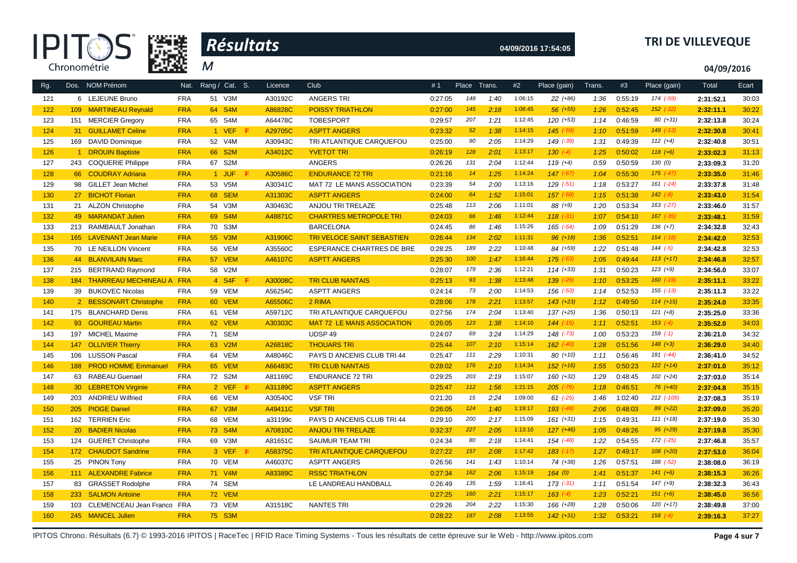



# **04/09/2016 17:54:05 TRI DE VILLEVEQUE**

**04/09/2016**

| Rg. |     | Dos. NOM Prénom              | Nat.       | Rang / Cat. S. | Licence | Club                              | #1      | Place | Trans. | #2      | Place (gain)  | Trans. | #3      | Place (gain)  | Total     | Ecart |
|-----|-----|------------------------------|------------|----------------|---------|-----------------------------------|---------|-------|--------|---------|---------------|--------|---------|---------------|-----------|-------|
| 121 |     | 6 LEJEUNE Bruno              | <b>FRA</b> | 51 V3M         | A30192C | <b>ANGERS TRI</b>                 | 0:27:05 | 148   | 1:40   | 1:06:15 | 22 (+86)      | 1:36   | 0:55:19 | 174 (-59)     | 2:31:52.1 | 30:03 |
| 122 |     | 109 MARTINEAU Reynald        | <b>FRA</b> | 64 S4M         | A86828C | <b>POISSY TRIATHLON</b>           | 0:27:00 | 145   | 2:18   | 1:08:45 | $56 (+55)$    | 1:26   | 0:52:45 | $152$ $(-32)$ | 2:32:11.1 | 30:22 |
| 123 |     | 151 MERCIER Gregory          | <b>FRA</b> | 65 S4M         | A64478C | <b>TOBESPORT</b>                  | 0:29:57 | 207   | 1:21   | 1:12:45 | 120 (+53)     | 1:14   | 0:46:59 | $80 (+31)$    | 2:32:13.8 | 30:24 |
| 124 |     | 31 GUILLAMET Celine          | <b>FRA</b> | 1 VEF<br>-F    | A29705C | <b>ASPTT ANGERS</b>               | 0:23:32 | 52    | 1:38   | 1:14:15 | $145$ $(-59)$ | 1:10   | 0:51:59 | $149$ $(-13)$ | 2:32:30.8 | 30:41 |
| 125 |     | 169 DAVID Dominique          | <b>FRA</b> | 52 V4M         | A30943C | TRI ATLANTIQUE CARQUEFOU          | 0:25:00 | 90    | 2:05   | 1:14:29 | 149 (-39)     | 1:31   | 0:49:39 | $112 (+4)$    | 2:32:40.8 | 30:51 |
| 126 |     | 1 DROUIN Baptiste            | <b>FRA</b> | 66 S2M         | A34012C | <b>YVETOT TRI</b>                 | 0:26:19 | 128   | 2:01   | 1:13:17 | $130 (-4)$    | 1:25   | 0:50:02 | $118(+6)$     | 2:33:02.3 | 31:13 |
| 127 |     | 243 COQUERIE Philippe        | <b>FRA</b> | 67 S2M         |         | <b>ANGERS</b>                     | 0:26:26 | 131   | 2:04   | 1:12:44 | $119 (+4)$    | 0:59   | 0:50:59 | 130(0)        | 2:33:09.3 | 31:20 |
| 128 |     | 66 COUDRAY Adriana           | <b>FRA</b> | 1 JUF<br>Æ     | A30586C | <b>ENDURANCE 72 TRI</b>           | 0:21:16 | 14    | 1:25   | 1:14:24 | $147$ $(-67)$ | 1:04   | 0:55:30 | $175$ $(-47)$ | 2:33:35.0 | 31:46 |
| 129 |     | 98 GILLET Jean Michel        | <b>FRA</b> | 53 V5M         | A30341C | MAT 72 LE MANS ASSOCIATION        | 0:23:39 | 54    | 2:00   | 1:13:16 | $129( -51)$   | 1:18   | 0:53:27 | $161 (-24)$   | 2:33:37.8 | 31:48 |
| 130 |     | 27 BICHOT Florian            | <b>FRA</b> | 68 SEM         | A31303C | <b>ASPTT ANGERS</b>               | 0:24:00 | 64    | 1:52   | 1:15:01 | $157$ $(-58)$ | 1:15   | 0:51:38 | $142 (-8)$    | 2:33:43.0 | 31:54 |
| 131 |     | 21 ALZON Christophe          | <b>FRA</b> | 54 V3M         | A30463C | ANJOU TRI TRELAZE                 | 0:25:48 | 113   | 2:06   | 1:11:01 | 88 (+9)       | 1:20   | 0:53:34 | $163$ $(-27)$ | 2:33:46.0 | 31:57 |
| 132 |     | 49 MARANDAT Julien           | <b>FRA</b> | 69 S4M         | A48871C | <b>CHARTRES METROPOLE TRI</b>     | 0:24:03 | 66    | 1:46   | 1:12:44 | $118$ $(-31)$ | 1:07   | 0:54:10 | 167 (-35)     | 2:33:48.1 | 31:59 |
| 133 |     | 213 RAIMBAULT Jonathan       | <b>FRA</b> | 70 S3M         |         | <b>BARCELONA</b>                  | 0:24:45 | 86    | 1:46   | 1:15:26 | 165 (-54)     | 1:09   | 0:51:29 | $136 (+7)$    | 2:34:32.8 | 32:43 |
| 134 |     | 165 LAVENANT Jean Marie      | <b>FRA</b> | 55 V3M         | A31906C | <b>TRI VELOCE SAINT SEBASTIEN</b> | 0:26:44 | 134   | 2:02   | 1:11:31 | $96 (+18)$    | 1:36   | 0:52:51 | $154$ $(-18)$ | 2:34:42.0 | 32:53 |
| 135 |     | 70 LE NEILLON Vincent        | <b>FRA</b> | 56 VEM         | A35560C | ESPERANCE CHARTRES DE BRE         | 0:28:25 | 189   | 2:22   | 1:10:48 | 84 (+59)      | 1:22   | 0:51:48 | $144 (-5)$    | 2:34:42.8 | 32:53 |
| 136 |     | 44 BLANVILAIN Marc           | <b>FRA</b> | 57 VEM         | A46107C | <b>ASPTT ANGERS</b>               | 0:25:30 | 100   | 1:47   | 1:16:44 | $175$ $(-53)$ | 1:05   | 0:49:44 | $113 (+17)$   | 2:34:46.8 | 32:57 |
| 137 |     | 215 BERTRAND Raymond         | <b>FRA</b> | 58 V2M         |         |                                   | 0:28:07 | 179   | 2:36   | 1:12:21 | $114(+33)$    | 1:31   | 0:50:23 | $123 (+9)$    | 2:34:56.0 | 33:07 |
| 138 |     | 184 THARREAU MECHINEAU A FRA |            | 4 S4F<br>- F   | A30008C | <b>TRI CLUB NANTAIS</b>           | 0:25:13 | 93    | 1:38   | 1:13:48 | $139( -26)$   | 1:10   | 0:53:25 | $160$ $(-19)$ | 2:35:11.1 | 33:22 |
| 139 |     | 39 BUKOVEC Nicolas           | <b>FRA</b> | 59 VEM         | A56254C | <b>ASPTT ANGERS</b>               | 0:24:14 | 73    | 2:00   | 1:14:53 | $156$ $(-53)$ | 1:14   | 0:52:53 | $155 (-13)$   | 2:35:11.3 | 33:22 |
| 140 |     | 2 BESSONART Christophe       | <b>FRA</b> | 60 VEM         | A65506C | 2 RIMA                            | 0:28:06 | 178   | 2:21   | 1:13:57 | $143 (+23)$   | 1:12   | 0:49:50 | $114 (+15)$   | 2:35:24.0 | 33:35 |
| 141 |     | 175 BLANCHARD Denis          | <b>FRA</b> | 61 VEM         | A59712C | TRI ATLANTIQUE CARQUEFOU          | 0:27:56 | 174   | 2:04   | 1:13:40 | $137 (+25)$   | 1:36   | 0:50:13 | $121 (+8)$    | 2:35:25.0 | 33:36 |
| 142 |     | 93 GOUREAU Martin            | <b>FRA</b> | 62 VEM         | A30303C | <b>MAT 72 LE MANS ASSOCIATION</b> | 0:26:05 | 123   | 1:38   | 1:14:10 | $144$ $(-15)$ | 1:11   | 0:52:51 | $153$ $(-4)$  | 2:35:52.0 | 34:03 |
| 143 |     | 197 MICHEL Maxime            | <b>FRA</b> | 71 SEM         |         | UDSP 49                           | 0:24:07 | 69    | 3:24   | 1:14:29 | $148$ $(-73)$ | 1:00   | 0:53:23 | $159(-1)$     | 2:36:21.0 | 34:32 |
| 144 | 147 | <b>OLLIVIER Thierry</b>      | <b>FRA</b> | 63 V2M         | A26818C | <b>THOUARS TRI</b>                | 0:25:44 | 107   | 2:10   | 1:15:14 | $162$ $(-40)$ | 1:28   | 0:51:56 | $148 (+3)$    | 2:36:29.0 | 34:40 |
| 145 |     | 106 LUSSON Pascal            | <b>FRA</b> | 64 VEM         | A48046C | PAYS D ANCENIS CLUB TRI 44        | 0:25:47 | 111   | 2:29   | 1:10:31 | 80 (+10)      | 1:11   | 0:56:46 | 181 (-44)     | 2:36:41.0 | 34:52 |
| 146 |     | 188 PROD HOMME Emmanuel      | <b>FRA</b> | 65 VEM         | A66483C | <b>TRI CLUB NANTAIS</b>           | 0:28:02 | 176   | 2:10   | 1:14:34 | $152$ $(+16)$ | 1:55   | 0:50:23 | $122 (+14)$   | 2:37:01.0 | 35:12 |
| 147 |     | 63 RABEAU Guenael            | <b>FRA</b> | 72 S2M         | A81169C | <b>ENDURANCE 72 TRI</b>           | 0:29:25 | 203   | 2:19   | 1:15:07 | $160 (+32)$   | 1:29   | 0:48:45 | $102 (+24)$   | 2:37:03.0 | 35:14 |
| 148 |     | 30 LEBRETON Virginie         | <b>FRA</b> | 2 VEF<br>-F    | A31189C | <b>ASPTT ANGERS</b>               | 0:25:47 | 112   | 1:56   | 1:21:15 | $205$ $(-76)$ | 1:18   | 0:46:51 | $76 (+40)$    | 2:37:04.8 | 35:15 |
| 149 | 203 | <b>ANDRIEU Wilfried</b>      | <b>FRA</b> | 66 VEM         | A30540C | <b>VSF TRI</b>                    | 0:21:20 | 15    | 2:24   | 1:09:00 | $61$ $(-25)$  | 1:46   | 1:02:40 | 212 (-109)    | 2:37:08.3 | 35:19 |
| 150 |     | 205 PIOGE Daniel             | <b>FRA</b> | 67 V3M         | A49411C | <b>VSF TRI</b>                    | 0:26:05 | 124   | 1:40   | 1:19:17 | $193$ $(-48)$ | 2:06   | 0:48:03 | $89 (+22)$    | 2:37:09.0 | 35:20 |
| 151 | 162 | <b>TERRIEN Eric</b>          | <b>FRA</b> | 68 VEM         | a31199c | PAYS D ANCENIS CLUB TRI 44        | 0:29:10 | 200   | 2:17   | 1:15:09 | $161 (+31)$   | 1:15   | 0:49:31 | $111 (+18)$   | 2:37:19.0 | 35:30 |
| 152 |     | 20 BADIER Nicolas            | <b>FRA</b> | 73 S4M         | A70810C | <b>ANJOU TRI TRELAZE</b>          | 0:32:37 | 227   | 2:05   | 1:13:10 | $127 (+46)$   | 1:05   | 0:48:26 | $95 (+29)$    | 2:37:19.8 | 35:30 |
| 153 |     | 124 GUERET Christophe        | <b>FRA</b> | 69 V3M         | A81651C | SAUMUR TEAM TRI                   | 0:24:34 | 80    | 2:18   | 1:14:41 | 154 (-48)     | 1:22   | 0:54:55 | 172 (-25)     | 2:37:46.8 | 35:57 |
| 154 |     | 172 CHAUDOT Sandrine         | <b>FRA</b> | 3 VEF<br>Æ     | A58375C | <b>TRI ATLANTIQUE CARQUEFOU</b>   | 0:27:22 | 157   | 2:08   | 1:17:42 | $183$ $(-17)$ | 1:27   | 0:49:17 | $108 (+20)$   | 2:37:53.0 | 36:04 |
| 155 |     | 25 PINON Tony                | <b>FRA</b> | 70 VEM         | A46037C | <b>ASPTT ANGERS</b>               | 0:26:56 | 141   | 1:43   | 1:10:14 | 74 (+38)      | 1:26   | 0:57:51 | 188 (-52)     | 2:38:08.0 | 36:19 |
| 156 |     | 111 ALEXANDRE Fabrice        | <b>FRA</b> | 71 V4M         | A83389C | <b>RSSC TRIATHLON</b>             | 0:27:34 | 162   | 2:06   | 1:15:19 | 164(0)        | 1:41   | 0:51:37 | $141 (+6)$    | 2:38:15.3 | 36:26 |
| 157 |     | 83 GRASSET Rodolphe          | <b>FRA</b> | 74 SEM         |         | LE LANDREAU HANDBALL              | 0:26:49 | 135   | 1:59   | 1:16:41 | $173$ $(-31)$ | 1:11   | 0:51:54 | $147 (+9)$    | 2:38:32.3 | 36:43 |
| 158 | 233 | <b>SALMON Antoine</b>        | <b>FRA</b> | <b>72 VEM</b>  |         |                                   | 0:27:25 | 160   | 2:21   | 1:15:17 | $163$ $(-4)$  | 1:23   | 0:52:21 | $151 (+6)$    | 2:38:45.0 | 36:56 |
| 159 | 103 | CLEMENCEAU Jean Franco       | <b>FRA</b> | 73 VEM         | A31518C | <b>NANTES TRI</b>                 | 0:29:26 | 204   | 2:22   | 1:15:30 | 166 (+28)     | 1:28   | 0:50:06 | $120 (+17)$   | 2:38:49.8 | 37:00 |
| 160 |     | 245 MANCEL Julien            | <b>FRA</b> | 75 S3M         |         |                                   | 0:28:22 | 187   | 2:08   | 1:13:55 | $142 (+31)$   | 1:32   | 0:53:21 | $158$ $(-4)$  | 2:39:16.3 | 37:27 |

IPITOS Chrono. Résultats (6.7) © 1993-2016 IPITOS | RaceTec | RFID Race Timing Systems - Tous les résultats de cette épreuve sur le Web - http://www.ipitos.com **Page 4 sur 7**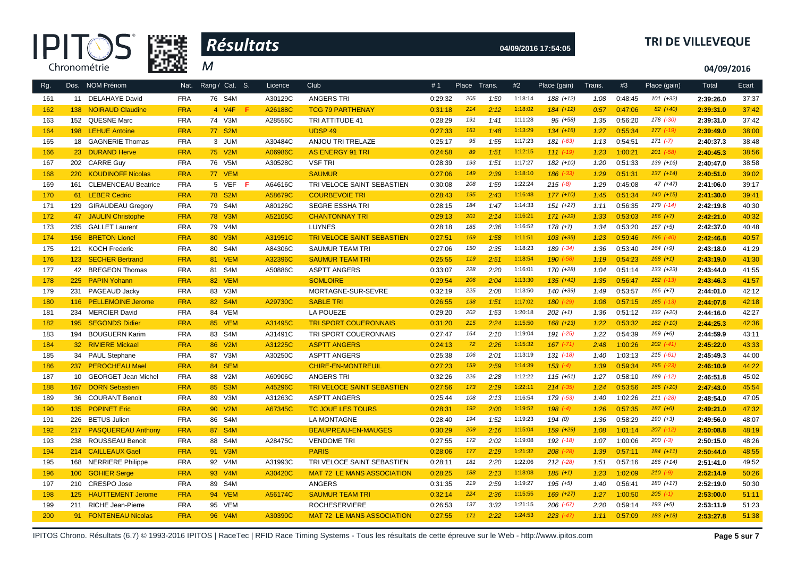



# **04/09/2016 17:54:05 TRI DE VILLEVEQUE**

**04/09/2016**

| Rg. |         | Dos. NOM Prénom           | Nat.       | Rang / Cat. S. | Licence | <b>Club</b>                       | #1      | Place | Trans. | #2      | Place (gain)  | Trans. | #3      | Place (gain)  | Total     | Ecart |
|-----|---------|---------------------------|------------|----------------|---------|-----------------------------------|---------|-------|--------|---------|---------------|--------|---------|---------------|-----------|-------|
| 161 |         | 11 DELAHAYE David         | <b>FRA</b> | 76 S4M         | A30129C | <b>ANGERS TRI</b>                 | 0:29:32 | 205   | 1:50   | 1:18:14 | $188 (+12)$   | 1:08   | 0:48:45 | $101 (+32)$   | 2:39:26.0 | 37:37 |
| 162 | 138     | <b>NOIRAUD Claudine</b>   | <b>FRA</b> | 4 V4F<br>F.    | A26188C | <b>TCG 79 PARTHENAY</b>           | 0:31:18 | 214   | 2:12   | 1:18:02 | $184 (+12)$   | 0:57   | 0:47:06 | $82 (+40)$    | 2:39:31.0 | 37:42 |
| 163 |         | 152 QUESNE Marc           | <b>FRA</b> | 74 V3M         | A28556C | TRI ATTITUDE 41                   | 0:28:29 | 191   | 1:41   | 1:11:28 | $95 (+58)$    | 1:35   | 0:56:20 | 178 (-30)     | 2:39:31.0 | 37:42 |
| 164 |         | 198 LEHUE Antoine         | <b>FRA</b> | 77 S2M         |         | <b>UDSP 49</b>                    | 0:27:33 | 161   | 1:48   | 1:13:29 | $134 (+16)$   | 1:27   | 0:55:34 | $177$ $(-19)$ | 2:39:49.0 | 38:00 |
| 165 |         | 18 GAGNERIE Thomas        | <b>FRA</b> | 3 JUM          | A30484C | ANJOU TRI TRELAZE                 | 0:25:17 | 95    | 1:55   | 1:17:23 | 181 (-63)     | 1:13   | 0:54:51 | $171 (-7)$    | 2:40:37.3 | 38:48 |
| 166 |         | 23 DURAND Herve           | <b>FRA</b> | 75 V2M         | A06986C | <b>AS ENERGY 91 TRI</b>           | 0:24:58 | 89    | 1:51   | 1:12:15 | $111 (-19)$   | 1:23   | 1:00:21 | $201$ $(-58)$ | 2:40:45.3 | 38:56 |
| 167 | 202     | <b>CARRE Guy</b>          | <b>FRA</b> | 76 V5M         | A30528C | <b>VSF TRI</b>                    | 0:28:39 | 193   | 1:51   | 1:17:27 | 182 (+10)     | 1:20   | 0:51:33 | $139 (+16)$   | 2:40:47.0 | 38:58 |
| 168 |         | 220 KOUDINOFF Nicolas     | <b>FRA</b> | 77 VEM         |         | <b>SAUMUR</b>                     | 0:27:06 | 149   | 2:39   | 1:18:10 | $186$ $(-33)$ | 1:29   | 0:51:31 | $137 (+14)$   | 2:40:51.0 | 39:02 |
| 169 |         | 161 CLEMENCEAU Beatrice   | <b>FRA</b> | 5 VEF<br>-F    | A64616C | TRI VELOCE SAINT SEBASTIEN        | 0:30:08 | 208   | 1:59   | 1:22:24 | $215(-8)$     | 1:29   | 0:45:08 | $47 (+47)$    | 2:41:06.0 | 39:17 |
| 170 |         | 61 LEBER Cedric           | <b>FRA</b> | 78 S2M         | A58679C | <b>COURBEVOIE TRI</b>             | 0:28:43 | 195   | 2:43   | 1:16:48 | $177(+10)$    | 1:45   | 0:51:34 | $140 (+15)$   | 2:41:30.0 | 39:41 |
| 171 |         | 129 GIRAUDEAU Gregory     | <b>FRA</b> | 79 S4M         | A80126C | <b>SEGRE ESSHA TRI</b>            | 0:28:15 | 184   | 1:47   | 1:14:33 | $151 (+27)$   | 1:11   | 0:56:35 | 179 (-14)     | 2:42:19.8 | 40:30 |
| 172 | 47      | <b>JAULIN Christophe</b>  | <b>FRA</b> | 78 V3M         | A52105C | <b>CHANTONNAY TRI</b>             | 0:29:13 | 201   | 2:14   | 1:16:21 | $171 (+22)$   | 1:33   | 0:53:03 | $156 (+7)$    | 2:42:21.0 | 40:32 |
| 173 |         | 235 GALLET Laurent        | <b>FRA</b> | 79 V4M         |         | <b>LUYNES</b>                     | 0:28:18 | 185   | 2:36   | 1:16:52 | $178 (+7)$    | 1:34   | 0:53:20 | $157 (+5)$    | 2:42:37.0 | 40:48 |
| 174 | 156     | <b>BRETON Lionel</b>      | <b>FRA</b> | 80 V3M         | A31951C | <b>TRI VELOCE SAINT SEBASTIEN</b> | 0:27:51 | 169   | 1:58   | 1:11:51 | $103 (+35)$   | 1:23   | 0:59:46 | 196 (-40)     | 2:42:46.8 | 40:57 |
| 175 |         | 121 KOCH Frederic         | <b>FRA</b> | 80 S4M         | A84306C | SAUMUR TEAM TRI                   | 0:27:06 | 150   | 2:35   | 1:18:23 | 189 (-34)     | 1:36   | 0:53:40 | $164 (+9)$    | 2:43:18.0 | 41:29 |
| 176 | $123 -$ | <b>SECHER Bertrand</b>    | <b>FRA</b> | 81 VEM         | A32396C | <b>SAUMUR TEAM TRI</b>            | 0:25:55 | 119   | 2:51   | 1:18:54 | 190 (-58)     | 1:19   | 0:54:23 | $168 (+1)$    | 2:43:19.0 | 41:30 |
| 177 |         | 42 BREGEON Thomas         | <b>FRA</b> | 81 S4M         | A50886C | <b>ASPTT ANGERS</b>               | 0:33:07 | 228   | 2:20   | 1:16:01 | 170 (+28)     | 1:04   | 0:51:14 | $133 (+23)$   | 2:43:44.0 | 41:55 |
| 178 |         | 225 PAPIN Yohann          | <b>FRA</b> | 82 VEM         |         | <b>SOMLOIRE</b>                   | 0:29:54 | 206   | 2:04   | 1:13:30 | $135 (+41)$   | 1:35   | 0:56:47 | $182$ $(-13)$ | 2:43:46.3 | 41:57 |
| 179 | 231     | PAGEAUD Jacky             | <b>FRA</b> | 83 V3M         |         | MORTAGNE-SUR-SEVRE                | 0:32:19 | 225   | 2:08   | 1:13:50 | $140 (+39)$   | 1:49   | 0:53:57 | $166 (+7)$    | 2:44:01.0 | 42:12 |
| 180 | 116     | <b>PELLEMOINE Jerome</b>  | <b>FRA</b> | 82 S4M         | A29730C | <b>SABLE TRI</b>                  | 0:26:55 | 138   | 1:51   | 1:17:02 | 180 (-29)     | 1:08   | 0:57:15 | $185$ $(-13)$ | 2:44:07.8 | 42:18 |
| 181 | 234     | <b>MERCIER David</b>      | <b>FRA</b> | 84 VEM         |         | LA POUEZE                         | 0:29:20 | 202   | 1:53   | 1:20:18 | $202 (+1)$    | 1:36   | 0:51:12 | $132 (+20)$   | 2:44:16.0 | 42:27 |
| 182 | 195     | <b>SEGONDS Didier</b>     | <b>FRA</b> | 85 VEM         | A31495C | <b>TRI SPORT COUERONNAIS</b>      | 0:31:20 | 215   | 2:24   | 1:15:50 | $168 (+23)$   | 1:22   | 0:53:32 | $162 (+10)$   | 2:44:25.3 | 42:36 |
| 183 | 194     | <b>BOUGUERN Karim</b>     | <b>FRA</b> | 83 S4M         | A31491C | TRI SPORT COUERONNAIS             | 0:27:47 | 164   | 2:10   | 1:19:04 | 191 (-25)     | 1:22   | 0:54:39 | $169 (+6)$    | 2:44:59.9 | 43:11 |
| 184 |         | 32 RIVIERE Mickael        | <b>FRA</b> | 86 V2M         | A31225C | <b>ASPTT ANGERS</b>               | 0:24:13 | 72    | 2:26   | 1:15:32 | $167$ $(-71)$ | 2:48   | 1:00:26 | $202$ $(-41)$ | 2:45:22.0 | 43:33 |
| 185 |         | 34 PAUL Stephane          | <b>FRA</b> | 87 V3M         | A30250C | <b>ASPTT ANGERS</b>               | 0:25:38 | 106   | 2:01   | 1:13:19 | $131$ $(-18)$ | 1:40   | 1:03:13 | $215$ $(-61)$ | 2:45:49.3 | 44:00 |
| 186 | 237     | <b>PEROCHEAU Mael</b>     | <b>FRA</b> | 84 SEM         |         | <b>CHIRE-EN-MONTREUIL</b>         | 0:27:23 | 159   | 2:59   | 1:14:39 | $153$ $(-4)$  | 1:39   | 0:59:34 | $195$ $(-23)$ | 2:46:10.9 | 44:22 |
| 187 |         | 10 GEORGET Jean Michel    | <b>FRA</b> | 88 V2M         | A60906C | <b>ANGERS TRI</b>                 | 0:32:26 | 226   | 2:28   | 1:12:22 | $115 (+51)$   | 1:27   | 0:58:10 | 189 (-12)     | 2:46:51.8 | 45:02 |
| 188 | 167     | <b>DORN Sebastien</b>     | <b>FRA</b> | 85 S3M         | A45296C | <b>TRI VELOCE SAINT SEBASTIEN</b> | 0:27:56 | 173   | 2:19   | 1:22:11 | $214$ (-35)   | 1:24   | 0:53:56 | $165 (+20)$   | 2:47:43.0 | 45:54 |
| 189 |         | 36 COURANT Benoit         | <b>FRA</b> | 89 V3M         | A31263C | <b>ASPTT ANGERS</b>               | 0:25:44 | 108   | 2:13   | 1:16:54 | 179 (-53)     | 1:40   | 1:02:26 | $211$ $(-28)$ | 2:48:54.0 | 47:05 |
| 190 |         | 135 POPINET Eric          | <b>FRA</b> | 90 V2M         | A67345C | <b>TC JOUE LES TOURS</b>          | 0:28:31 | 192   | 2:00   | 1:19:52 | $198$ $(-4)$  | 1:26   | 0:57:35 | $187 (+6)$    | 2:49:21.0 | 47:32 |
| 191 | 226     | <b>BETUS Julien</b>       | <b>FRA</b> | 86 S4M         |         | <b>LA MONTAGNE</b>                | 0:28:40 | 194   | 1:52   | 1:19:23 | 194(0)        | 1:36   | 0:58:29 | $190 (+3)$    | 2:49:56.0 | 48:07 |
| 192 | 217     | <b>PASQUEREAU Anthony</b> | <b>FRA</b> | 87 S4M         |         | <b>BEAUPREAU-EN-MAUGES</b>        | 0:30:29 | 209   | 2:16   | 1:15:04 | $159(+29)$    | 1:08   | 1:01:14 | $207$ $(-12)$ | 2:50:08.8 | 48:19 |
| 193 |         | 238 ROUSSEAU Benoit       | <b>FRA</b> | 88 S4M         | A28475C | <b>VENDOME TRI</b>                | 0:27:55 | 172   | 2:02   | 1:19:08 | 192 (-18)     | 1:07   | 1:00:06 | $200 (-3)$    | 2:50:15.0 | 48:26 |
| 194 | 214     | <b>CAILLEAUX Gael</b>     | <b>FRA</b> | 91 V3M         |         | <b>PARIS</b>                      | 0:28:06 | 177   | 2:19   | 1:21:32 | $208$ (-28)   | 1:39   | 0:57:11 | $184 (+11)$   | 2:50:44.0 | 48:55 |
| 195 | 168     | <b>NERRIERE Philippe</b>  | <b>FRA</b> | 92 V4M         | A31993C | TRI VELOCE SAINT SEBASTIEN        | 0:28:11 | 181   | 2:20   | 1:22:06 | $212$ $(-28)$ | 1:51   | 0:57:16 | $186 (+14)$   | 2:51:41.0 | 49:52 |
| 196 | 100     | <b>GOHIER Serge</b>       | <b>FRA</b> | 93 V4M         | A30420C | <b>MAT 72 LE MANS ASSOCIATION</b> | 0:28:25 | 188   | 2:13   | 1:18:08 | $185 (+1)$    | 1:23   | 1:02:09 | $210(-9)$     | 2:52:14.9 | 50:26 |
| 197 | 210     | <b>CRESPO Jose</b>        | <b>FRA</b> | 89 S4M         |         | <b>ANGERS</b>                     | 0:31:35 | 219   | 2:59   | 1:19:27 | $195 (+5)$    | 1:40   | 0:56:41 | 180 (+17)     | 2:52:19.0 | 50:30 |
| 198 | 125     | <b>HAUTTEMENT Jerome</b>  | <b>FRA</b> | 94 VEM         | A56174C | <b>SAUMUR TEAM TRI</b>            | 0:32:14 | 224   | 2:36   | 1:15:55 | $169 (+27)$   | 1:27   | 1:00:50 | $205$ $(-1)$  | 2:53:00.0 | 51:11 |
| 199 |         | 211 RICHE Jean-Pierre     | <b>FRA</b> | 95 VEM         |         | <b>ROCHESERVIERE</b>              | 0:26:53 | 137   | 3:32   | 1:21:15 | $206$ $(-67)$ | 2:20   | 0:59:14 | $193 (+5)$    | 2:53:11.9 | 51:23 |
| 200 |         | 91 FONTENEAU Nicolas      | <b>FRA</b> | 96 V4M         | A30390C | <b>MAT 72 LE MANS ASSOCIATION</b> | 0:27:55 | 171   | 2:22   | 1:24:53 | $223$ (-47)   | 1:11   | 0:57:09 | $183 (+18)$   | 2:53:27.8 | 51:38 |

IPITOS Chrono. Résultats (6.7) © 1993-2016 IPITOS | RaceTec | RFID Race Timing Systems - Tous les résultats de cette épreuve sur le Web - http://www.ipitos.com Page 5 sur 7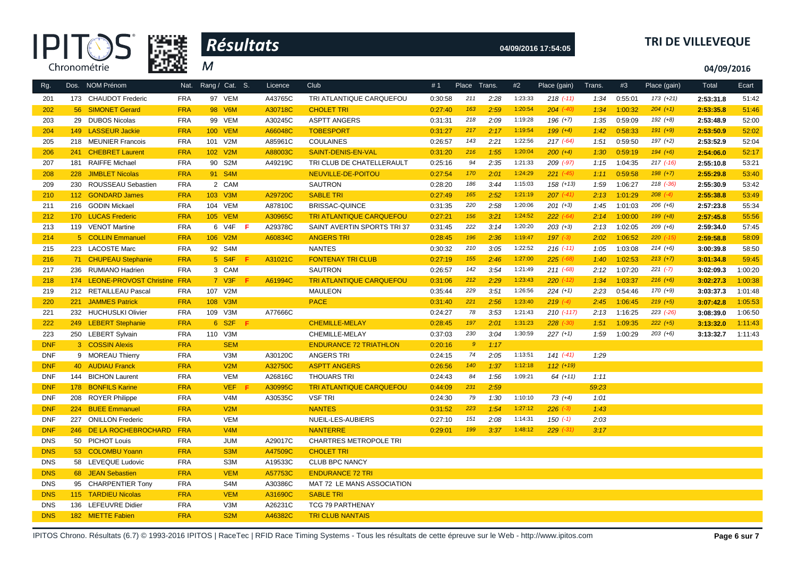



# **04/09/2016 17:54:05 TRI DE VILLEVEQUE**

**04/09/2016**

| Rg.        |     | Dos. NOM Prénom                 | Nat.       | Rang / Cat. S.   | Licence        | Club                            | #1      | Place Trans.     |      | #2      | Place (gain)  | Trans. | #3      | Place (gain)  | Total     | Ecart   |
|------------|-----|---------------------------------|------------|------------------|----------------|---------------------------------|---------|------------------|------|---------|---------------|--------|---------|---------------|-----------|---------|
| 201        |     | 173 CHAUDOT Frederic            | <b>FRA</b> | 97 VEM           | A43765C        | TRI ATLANTIQUE CARQUEFOU        | 0:30:58 | 211              | 2:28 | 1:23:33 | $218$ $(-11)$ | 1:34   | 0:55:01 | $173 (+21)$   | 2:53:31.8 | 51:42   |
| 202        |     | 56 SIMONET Gerard               | <b>FRA</b> | 98 V6M           | A30718C        | <b>CHOLET TRI</b>               | 0:27:40 | 163              | 2:59 | 1:20:54 | $204$ $(-40)$ | 1:34   | 1:00:32 | $204 (+1)$    | 2:53:35.8 | 51:46   |
| 203        |     | 29 DUBOS Nicolas                | <b>FRA</b> | 99 VEM           | A30245C        | <b>ASPTT ANGERS</b>             | 0:31:31 | 218              | 2:09 | 1:19:28 | $196 (+7)$    | 1:35   | 0:59:09 | $192 (+8)$    | 2:53:48.9 | 52:00   |
| 204        |     | 149 LASSEUR Jackie              | <b>FRA</b> | <b>100 VEM</b>   | A66048C        | <b>TOBESPORT</b>                | 0:31:27 | 217              | 2:17 | 1:19:54 | $199 (+4)$    | 1:42   | 0:58:33 | $191 (+9)$    | 2:53:50.9 | 52:02   |
| 205        |     | 218 MEUNIER Francois            | <b>FRA</b> | 101 V2M          | A85961C        | <b>COULAINES</b>                | 0:26:57 | 143              | 2:21 | 1:22:56 | $217$ (-64)   | 1:51   | 0:59:50 | $197 (+2)$    | 2:53:52.9 | 52:04   |
| 206        | 241 | <b>CHEBRET Laurent</b>          | <b>FRA</b> | 102 V2M          | A88003C        | SAINT-DENIS-EN-VAL              | 0:31:20 | 216              | 1:55 | 1:20:04 | $200 (+4)$    | 1:30   | 0:59:19 | $194 (+6)$    | 2:54:06.0 | 52:17   |
| 207        | 181 | <b>RAIFFE Michael</b>           | <b>FRA</b> | 90 S2M           | A49219C        | TRI CLUB DE CHATELLERAULT       | 0:25:16 | 94               | 2:35 | 1:21:33 | 209 (-97)     | 1:15   | 1:04:35 | $217$ $(-16)$ | 2:55:10.8 | 53:21   |
| 208        |     | 228 JIMBLET Nicolas             | <b>FRA</b> | 91 S4M           |                | NEUVILLE-DE-POITOU              | 0:27:54 | 170              | 2:01 | 1:24:29 | $221 (-45)$   | 1:11   | 0:59:58 | $198 (+7)$    | 2:55:29.8 | 53:40   |
| 209        |     | 230 ROUSSEAU Sebastien          | <b>FRA</b> | 2 CAM            |                | <b>SAUTRON</b>                  | 0:28:20 | 186              | 3:44 | 1:15:03 | $158 (+13)$   | 1:59   | 1:06:27 | $218$ $(-36)$ | 2:55:30.9 | 53:42   |
| 210        |     | 112 GONDARD James               | <b>FRA</b> | 103 V3M          | A29720C        | <b>SABLE TRI</b>                | 0:27:49 | 165              | 2:52 | 1:21:19 | $207$ $(-41)$ | 2:13   | 1:01:29 | $208$ $(-4)$  | 2:55:38.8 | 53:49   |
| 211        |     | 216 GODIN Mickael               | <b>FRA</b> | 104 VEM          | A87810C        | <b>BRISSAC-QUINCE</b>           | 0:31:35 | 220              | 2:58 | 1:20:06 | $201 (+3)$    | 1:45   | 1:01:03 | $206 (+6)$    | 2:57:23.8 | 55:34   |
| 212        |     | 170 LUCAS Frederic              | <b>FRA</b> | <b>105 VEM</b>   | A30965C        | <b>TRI ATLANTIQUE CARQUEFOU</b> | 0:27:21 | 156              | 3:21 | 1:24:52 | $222 (-64)$   | 2:14   | 1:00:00 | $199 (+8)$    | 2:57:45.8 | 55:56   |
| 213        |     | 119 VENOT Martine               | <b>FRA</b> | 6 V4F F          | A29378C        | SAINT AVERTIN SPORTS TRI37      | 0:31:45 | 222              | 3:14 | 1:20:20 | $203 (+3)$    | 2:13   | 1:02:05 | $209 (+6)$    | 2:59:34.0 | 57:45   |
| 214        |     | 5 COLLIN Emmanuel               | <b>FRA</b> | 106 V2M          | A60834C        | <b>ANGERS TRI</b>               | 0:28:45 | 196              | 2:36 | 1:19:47 | $197 (-3)$    | 2:02   | 1:06:52 | $220$ $(-15)$ | 2:59:58.8 | 58:09   |
| 215        |     | 223 LACOSTE Marc                | <b>FRA</b> | 92 S4M           |                | <b>NANTES</b>                   | 0:30:32 | 210              | 3:05 | 1:22:52 | $216$ $(-11)$ | 1:05   | 1:03:08 | $214 (+6)$    | 3:00:39.8 | 58:50   |
| 216        |     | 71 CHUPEAU Stephanie            | <b>FRA</b> | 5 S4F            | A31021C<br>F   | <b>FONTENAY TRI CLUB</b>        | 0:27:19 | 155              | 2:46 | 1:27:00 | $225$ (-68)   | 1:40   | 1:02:53 | $213 (+7)$    | 3:01:34.8 | 59:45   |
| 217        |     | 236 RUMIANO Hadrien             | <b>FRA</b> | 3 CAM            |                | <b>SAUTRON</b>                  | 0:26:57 | 142              | 3:54 | 1:21:49 | $211 (-68)$   | 2:12   | 1:07:20 | $221 (-7)$    | 3:02:09.3 | 1:00:20 |
| 218        |     | 174 LEONE-PROVOST Christine FRA |            | $7$ V3F          | A61994C<br>- F | <b>TRI ATLANTIQUE CARQUEFOU</b> | 0:31:06 | 212              | 2:29 | 1:23:43 | $220$ $(-12)$ | 1:34   | 1:03:37 | $216 (+6)$    | 3:02:27.3 | 1:00:38 |
| 219        |     | 212 RETAILLEAU Pascal           | <b>FRA</b> | 107 V2M          |                | <b>MAULEON</b>                  | 0:35:44 | 229              | 3:51 | 1:26:56 | $224 (+1)$    | 2:23   | 0:54:46 | $170 (+9)$    | 3:03:37.3 | 1:01:48 |
| 220        |     | 221 JAMMES Patrick              | <b>FRA</b> | 108 V3M          |                | <b>PACE</b>                     | 0:31:40 | 221              | 2:56 | 1:23:40 | $219(-4)$     | 2:45   | 1:06:45 | $219(+5)$     | 3:07:42.8 | 1:05:53 |
| 221        |     | 232 HUCHUSLKI Olivier           | <b>FRA</b> | 109 V3M          | A77666C        |                                 | 0:24:27 | 78               | 3:53 | 1:21:43 | $210$ (-117)  | 2:13   | 1:16:25 | $223$ $(-26)$ | 3:08:39.0 | 1:06:50 |
| 222        |     | 249 LEBERT Stephanie            | <b>FRA</b> | 6 S2F            | -F.            | <b>CHEMILLE-MELAY</b>           | 0:28:45 | 197              | 2:01 | 1:31:23 | $228$ (-30)   | 1:51   | 1:09:35 | $222 (+5)$    | 3:13:32.0 | 1:11:43 |
| 223        |     | 250 LEBERT Sylvain              | <b>FRA</b> | 110 V3M          |                | CHEMILLE-MELAY                  | 0:37:03 | 230              | 3:04 | 1:30:59 | $227 (+1)$    | 1:59   | 1:00:29 | $203 (+6)$    | 3:13:32.7 | 1:11:43 |
| <b>DNF</b> |     | 3 COSSIN Alexis                 | <b>FRA</b> | <b>SEM</b>       |                | <b>ENDURANCE 72 TRIATHLON</b>   | 0:20:16 | $\boldsymbol{g}$ | 1:17 |         |               |        |         |               |           |         |
| <b>DNF</b> |     | 9 MOREAU Thierry                | <b>FRA</b> | V3M              | A30120C        | <b>ANGERS TRI</b>               | 0:24:15 | 74               | 2:05 | 1:13:51 | $141 (-41)$   | 1:29   |         |               |           |         |
| <b>DNF</b> |     | 40 AUDIAU Franck                | <b>FRA</b> | V2M              | A32750C        | <b>ASPTT ANGERS</b>             | 0:26:56 | 140              | 1:37 | 1:12:18 | $112 (+19)$   |        |         |               |           |         |
| <b>DNF</b> |     | 144 BICHON Laurent              | <b>FRA</b> | <b>VEM</b>       | A26816C        | <b>THOUARS TRI</b>              | 0:24:43 | 84               | 1:56 | 1:09:21 | $64(+11)$     | 1:11   |         |               |           |         |
| <b>DNF</b> |     | 178 BONFILS Karine              | <b>FRA</b> | VEF              | A30995C<br>-F  | <b>TRI ATLANTIQUE CARQUEFOU</b> | 0:44:09 | 231              | 2:59 |         |               | 59:23  |         |               |           |         |
| <b>DNF</b> |     | 208 ROYER Philippe              | <b>FRA</b> | V <sub>4</sub> M | A30535C        | <b>VSF TRI</b>                  | 0:24:30 | 79               | 1:30 | 1:10:10 | $73 (+4)$     | 1:01   |         |               |           |         |
| <b>DNF</b> |     | 224 BUEE Emmanuel               | <b>FRA</b> | V2M              |                | <b>NANTES</b>                   | 0:31:52 | 223              | 1:54 | 1:27:12 | $226 (-3)$    | 1:43   |         |               |           |         |
| <b>DNF</b> | 227 | <b>ONILLON Frederic</b>         | <b>FRA</b> | <b>VEM</b>       |                | NUEIL-LES-AUBIERS               | 0:27:10 | 151              | 2:08 | 1:14:31 | $150(-1)$     | 2:03   |         |               |           |         |
| <b>DNF</b> |     | 246 DE LA ROCHEBROCHARD         | <b>FRA</b> | V4M              |                | <b>NANTERRE</b>                 | 0:29:01 | 199              | 3:37 | 1:48:12 | $229$ $(-31)$ | 3:17   |         |               |           |         |
| <b>DNS</b> |     | 50 PICHOT Louis                 | <b>FRA</b> | <b>JUM</b>       | A29017C        | <b>CHARTRES METROPOLE TRI</b>   |         |                  |      |         |               |        |         |               |           |         |
| <b>DNS</b> |     | 53 COLOMBU Yoann                | <b>FRA</b> | S <sub>3</sub> M | A47509C        | <b>CHOLET TRI</b>               |         |                  |      |         |               |        |         |               |           |         |
| <b>DNS</b> |     | 58 LEVEQUE Ludovic              | <b>FRA</b> | S3M              | A19533C        | <b>CLUB BPC NANCY</b>           |         |                  |      |         |               |        |         |               |           |         |
| <b>DNS</b> |     | 68 JEAN Sebastien               | <b>FRA</b> | <b>VEM</b>       | A57753C        | <b>ENDURANCE 72 TRI</b>         |         |                  |      |         |               |        |         |               |           |         |
| <b>DNS</b> |     | 95 CHARPENTIER Tony             | <b>FRA</b> | S4M              | A30386C        | MAT 72 LE MANS ASSOCIATION      |         |                  |      |         |               |        |         |               |           |         |
| <b>DNS</b> |     | 115 TARDIEU Nicolas             | <b>FRA</b> | <b>VEM</b>       | A31690C        | <b>SABLE TRI</b>                |         |                  |      |         |               |        |         |               |           |         |
| <b>DNS</b> |     | 136 LEFEUVRE Didier             | <b>FRA</b> | V3M              | A26231C        | <b>TCG 79 PARTHENAY</b>         |         |                  |      |         |               |        |         |               |           |         |
| <b>DNS</b> |     | 182 MIETTE Fabien               | <b>FRA</b> | S <sub>2</sub> M | A46382C        | <b>TRI CLUB NANTAIS</b>         |         |                  |      |         |               |        |         |               |           |         |

IPITOS Chrono. Résultats (6.7) © 1993-2016 IPITOS | RaceTec | RFID Race Timing Systems - Tous les résultats de cette épreuve sur le Web - http://www.ipitos.com **Page 6 sur 7**